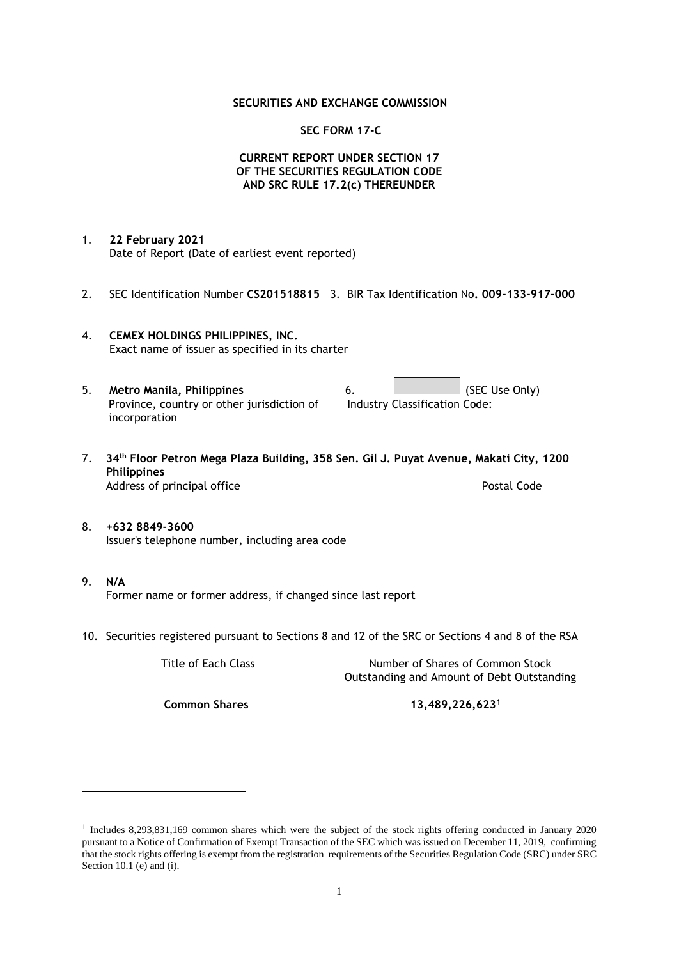## **SECURITIES AND EXCHANGE COMMISSION**

## **SEC FORM 17-C**

## **CURRENT REPORT UNDER SECTION 17 OF THE SECURITIES REGULATION CODE AND SRC RULE 17.2(c) THEREUNDER**

- 1. **22 February 2021** Date of Report (Date of earliest event reported)
- 2. SEC Identification Number **CS201518815** 3. BIR Tax Identification No**. 009-133-917-000**
- 4. **CEMEX HOLDINGS PHILIPPINES, INC.** Exact name of issuer as specified in its charter
- 5. **Metro Manila, Philippines** 6. **Consumers 6.** (SEC Use Only) Province, country or other jurisdiction of incorporation Industry Classification Code:
- 7. **34th Floor Petron Mega Plaza Building, 358 Sen. Gil J. Puyat Avenue, Makati City, 1200 Philippines** Address of principal office **Postal Code** Postal Code
- 8. **+632 8849-3600** Issuer's telephone number, including area code
- 9. **N/A** Former name or former address, if changed since last report
- 10. Securities registered pursuant to Sections 8 and 12 of the SRC or Sections 4 and 8 of the RSA

Title of Each Class Number of Shares of Common Stock Outstanding and Amount of Debt Outstanding

**Common Shares 13,489,226,623<sup>1</sup>**

<sup>1</sup> Includes 8,293,831,169 common shares which were the subject of the stock rights offering conducted in January 2020 pursuant to a Notice of Confirmation of Exempt Transaction of the SEC which was issued on December 11, 2019, confirming that the stock rights offering is exempt from the registration requirements of the Securities Regulation Code (SRC) under SRC Section 10.1 (e) and (i).